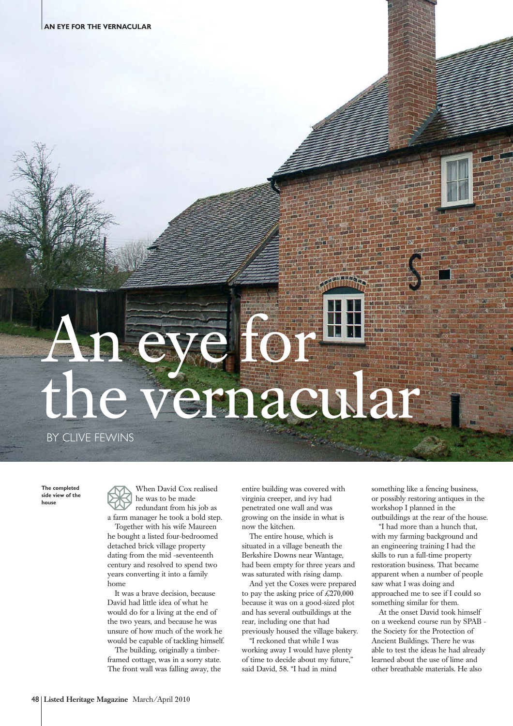## An eye for the vernacular

BY CLIVE FEWINS

**The completed side view of the house**

When David Cox realised he was to be made redundant from his job as a farm manager he took a bold step.

Together with his wife Maureen he bought a listed four-bedroomed detached brick village property dating from the mid -seventeenth century and resolved to spend two years converting it into a family home

It was a brave decision, because David had little idea of what he would do for a living at the end of the two years, and because he was unsure of how much of the work he would be capable of tackling himself.

The building, originally a timberframed cottage, was in a sorry state. The front wall was falling away, the

entire building was covered with virginia creeper, and ivy had penetrated one wall and was growing on the inside in what is now the kitchen.

The entire house, which is situated in a village beneath the Berkshire Downs near Wantage, had been empty for three years and was saturated with rising damp.

And yet the Coxes were prepared to pay the asking price of  $\text{\textsterling}270,000$ because it was on a good-sized plot and has several outbuildings at the rear, including one that had previously housed the village bakery.

"I reckoned that while I was working away I would have plenty of time to decide about my future," said David, 58. "I had in mind

something like a fencing business, or possibly restoring antiques in the workshop I planned in the outbuildings at the rear of the house.

"I had more than a hunch that, with my farming background and an engineering training I had the skills to run a full-time property restoration business. That became apparent when a number of people saw what I was doing and approached me to see if I could so something similar for them.

At the onset David took himself on a weekend course run by SPAB the Society for the Protection of Ancient Buildings. There he was able to test the ideas he had already learned about the use of lime and other breathable materials. He also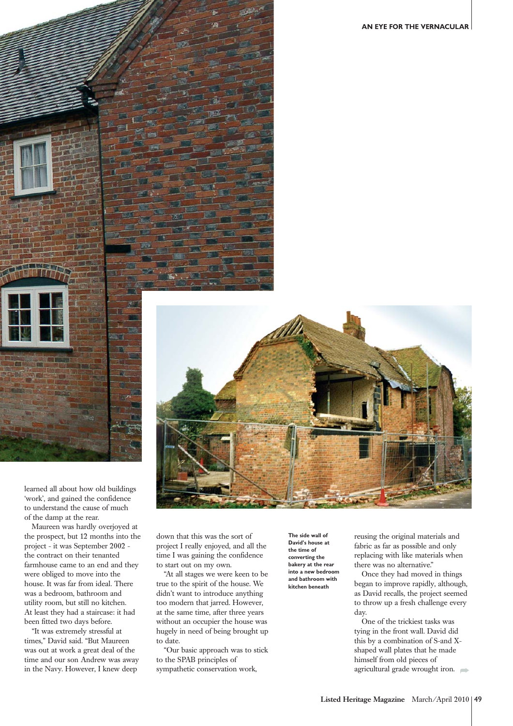**AN EYE FOR THE VERNACULAR**





learned all about how old buildings 'work', and gained the confidence to understand the cause of much of the damp at the rear.

Maureen was hardly overjoyed at the prospect, but 12 months into the project - it was September 2002 the contract on their tenanted farmhouse came to an end and they were obliged to move into the house. It was far from ideal. There was a bedroom, bathroom and utility room, but still no kitchen. At least they had a staircase: it had been fitted two days before.

"It was extremely stressful at times," David said. "But Maureen was out at work a great deal of the time and our son Andrew was away in the Navy. However, I knew deep

down that this was the sort of project I really enjoyed, and all the time I was gaining the confidence to start out on my own.

"At all stages we were keen to be true to the spirit of the house. We didn't want to introduce anything too modern that jarred. However, at the same time, after three years without an occupier the house was hugely in need of being brought up to date.

"Our basic approach was to stick to the SPAB principles of sympathetic conservation work,

**The side wall of David's house at the time of converting the bakery at the rear into a new bedroom and bathroom with kitchen beneath** 

reusing the original materials and fabric as far as possible and only replacing with like materials when there was no alternative."

Once they had moved in things began to improve rapidly, although, as David recalls, the project seemed to throw up a fresh challenge every day.

One of the trickiest tasks was tying in the front wall. David did this by a combination of S-and Xshaped wall plates that he made himself from old pieces of agricultural grade wrought iron.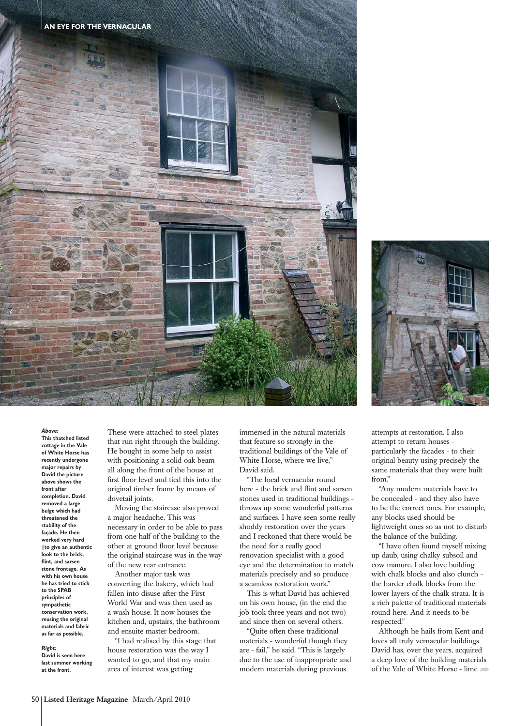



## *Above:*

**This thatched listed cottage in the Vale of White Horse has recently undergone major repairs by David the picture above shows the front after completion. David removed a large bulge which had threatened the stability of the façade. He then worked very hard |to give an authentic look to the brick, flint, and sarsen stone frontage. As with his own house he has tried to stick to the SPAB principles of sympathetic conservation work, reusing the original materials and fabric as far as possible.**

*Right:* **David is seen here**

**last summer working at the front.**

These were attached to steel plates that run right through the building. He bought in some help to assist with positioning a solid oak beam all along the front of the house at first floor level and tied this into the original timber frame by means of dovetail joints.

Moving the staircase also proved a major headache. This was necessary in order to be able to pass from one half of the building to the other at ground floor level because the original staircase was in the way of the new rear entrance.

Another major task was converting the bakery, which had fallen into disuse after the First World War and was then used as a wash house. It now houses the kitchen and, upstairs, the bathroom and ensuite master bedroom.

"I had realised by this stage that house restoration was the way I wanted to go, and that my main area of interest was getting

immersed in the natural materials that feature so strongly in the traditional buildings of the Vale of White Horse, where we live." David said.

"The local vernacular round here - the brick and flint and sarsen stones used in traditional buildings throws up some wonderful patterns and surfaces. I have seen some really shoddy restoration over the years and I reckoned that there would be the need for a really good renovation specialist with a good eye and the determination to match materials precisely and so produce a seamless restoration work."

This is what David has achieved on his own house, (in the end the job took three years and not two) and since then on several others.

"Quite often these traditional materials - wonderful though they are - fail," he said. "This is largely due to the use of inappropriate and modern materials during previous

attempts at restoration. I also attempt to return houses particularly the facades - to their original beauty using precisely the same materials that they were built from."

"Any modern materials have to be concealed - and they also have to be the correct ones. For example, any blocks used should be lightweight ones so as not to disturb the balance of the building.

"I have often found myself mixing up daub, using chalky subsoil and cow manure. I also love building with chalk blocks and also clunch the harder chalk blocks from the lower layers of the chalk strata. It is a rich palette of traditional materials round here. And it needs to be respected."

Although he hails from Kent and loves all truly vernacular buildings David has, over the years, acquired a deep love of the building materials of the Vale of White Horse - lime